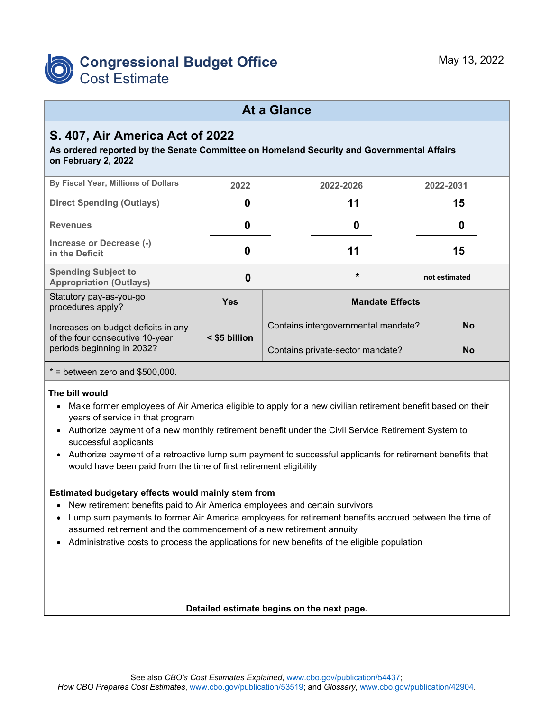

## **At a Glance**

## **S. 407, Air America Act of 2022**

**As ordered reported by the Senate Committee on Homeland Security and Governmental Affairs on February 2, 2022**

| By Fiscal Year, Millions of Dollars                                    | 2022          | 2022-2026                           | 2022-2031     |  |  |  |  |
|------------------------------------------------------------------------|---------------|-------------------------------------|---------------|--|--|--|--|
| <b>Direct Spending (Outlays)</b>                                       | 0             | 11                                  | 15            |  |  |  |  |
| <b>Revenues</b>                                                        | 0             | 0                                   | 0             |  |  |  |  |
| Increase or Decrease (-)<br>in the Deficit                             | 0             | 11                                  | 15            |  |  |  |  |
| <b>Spending Subject to</b><br><b>Appropriation (Outlays)</b>           | 0             | $\star$                             | not estimated |  |  |  |  |
| Statutory pay-as-you-go<br>procedures apply?                           | <b>Yes</b>    | <b>Mandate Effects</b>              |               |  |  |  |  |
| Increases on-budget deficits in any<br>of the four consecutive 10-year | < \$5 billion | Contains intergovernmental mandate? | <b>No</b>     |  |  |  |  |
| periods beginning in 2032?                                             |               | Contains private-sector mandate?    | <b>No</b>     |  |  |  |  |
|                                                                        |               |                                     |               |  |  |  |  |

 $*$  = between zero and \$500,000.

#### **The bill would**

- Make former employees of Air America eligible to apply for a new civilian retirement benefit based on their years of service in that program
- Authorize payment of a new monthly retirement benefit under the Civil Service Retirement System to successful applicants
- Authorize payment of a retroactive lump sum payment to successful applicants for retirement benefits that would have been paid from the time of first retirement eligibility

#### **Estimated budgetary effects would mainly stem from**

- New retirement benefits paid to Air America employees and certain survivors
- Lump sum payments to former Air America employees for retirement benefits accrued between the time of assumed retirement and the commencement of a new retirement annuity
- Administrative costs to process the applications for new benefits of the eligible population

#### **Detailed estimate begins on the next page.**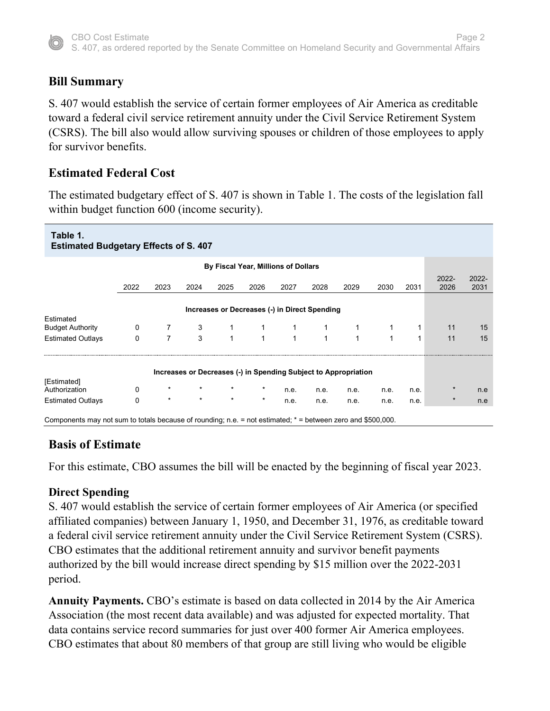

## **Bill Summary**

S. 407 would establish the service of certain former employees of Air America as creditable toward a federal civil service retirement annuity under the Civil Service Retirement System (CSRS). The bill also would allow surviving spouses or children of those employees to apply for survivor benefits.

### **Estimated Federal Cost**

The estimated budgetary effect of S. 407 is shown in Table 1. The costs of the legislation fall within budget function 600 (income security).

| Table 1.<br><b>Estimated Budgetary Effects of S. 407</b>                                                    |              |                |              |                                               |              |              |              |                                                                 |              |              |               |               |
|-------------------------------------------------------------------------------------------------------------|--------------|----------------|--------------|-----------------------------------------------|--------------|--------------|--------------|-----------------------------------------------------------------|--------------|--------------|---------------|---------------|
| By Fiscal Year, Millions of Dollars                                                                         |              |                |              |                                               |              |              |              |                                                                 |              |              |               |               |
|                                                                                                             | 2022         | 2023           | 2024         | 2025                                          | 2026         | 2027         | 2028         | 2029                                                            | 2030         | 2031         | 2022-<br>2026 | 2022-<br>2031 |
|                                                                                                             |              |                |              | Increases or Decreases (-) in Direct Spending |              |              |              |                                                                 |              |              |               |               |
| Estimated                                                                                                   |              |                |              |                                               |              |              |              |                                                                 |              |              |               |               |
| <b>Budget Authority</b>                                                                                     | $\mathbf 0$  | $7^{\circ}$    | 3            | $\mathbf{1}$                                  |              |              |              |                                                                 |              |              | 11            | 15            |
| <b>Estimated Outlays</b>                                                                                    | $\mathbf{0}$ | $\overline{7}$ | $\mathbf{3}$ | $\mathbf{1}$                                  | $\mathbf{1}$ | $\mathbf{1}$ | $\mathbf{1}$ | $\mathbf{1}$                                                    | $\mathbf{1}$ | $\mathbf{1}$ | 11            | 15            |
|                                                                                                             |              |                |              |                                               |              |              |              | Increases or Decreases (-) in Spending Subject to Appropriation |              |              |               |               |
| [Estimated]<br>Authorization                                                                                | 0            | $\star$        | $\star$      | $\star$                                       |              | n.e.         | n.e.         | n.e.                                                            | n.e.         | n.e.         |               | n.e           |
| <b>Estimated Outlays</b>                                                                                    | $\Omega$     | $\star$        | $\star$      | $\star$                                       | $\star$      | n.e.         | n.e.         | n.e.                                                            | n.e.         | n.e.         | $\ast$        | n.e           |
| Components may not sum to totals because of rounding; n.e. = not estimated; * = between zero and \$500,000. |              |                |              |                                               |              |              |              |                                                                 |              |              |               |               |

### **Basis of Estimate**

For this estimate, CBO assumes the bill will be enacted by the beginning of fiscal year 2023.

### **Direct Spending**

S. 407 would establish the service of certain former employees of Air America (or specified affiliated companies) between January 1, 1950, and December 31, 1976, as creditable toward a federal civil service retirement annuity under the Civil Service Retirement System (CSRS). CBO estimates that the additional retirement annuity and survivor benefit payments authorized by the bill would increase direct spending by \$15 million over the 2022-2031 period.

**Annuity Payments.** CBO's estimate is based on data collected in 2014 by the Air America Association (the most recent data available) and was adjusted for expected mortality. That data contains service record summaries for just over 400 former Air America employees. CBO estimates that about 80 members of that group are still living who would be eligible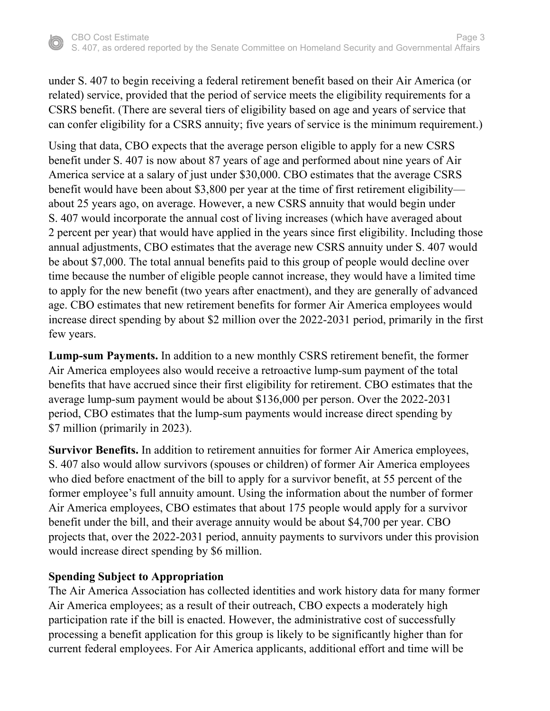under S. 407 to begin receiving a federal retirement benefit based on their Air America (or related) service, provided that the period of service meets the eligibility requirements for a CSRS benefit. (There are several tiers of eligibility based on age and years of service that can confer eligibility for a CSRS annuity; five years of service is the minimum requirement.)

Using that data, CBO expects that the average person eligible to apply for a new CSRS benefit under S. 407 is now about 87 years of age and performed about nine years of Air America service at a salary of just under \$30,000. CBO estimates that the average CSRS benefit would have been about \$3,800 per year at the time of first retirement eligibility about 25 years ago, on average. However, a new CSRS annuity that would begin under S. 407 would incorporate the annual cost of living increases (which have averaged about 2 percent per year) that would have applied in the years since first eligibility. Including those annual adjustments, CBO estimates that the average new CSRS annuity under S. 407 would be about \$7,000. The total annual benefits paid to this group of people would decline over time because the number of eligible people cannot increase, they would have a limited time to apply for the new benefit (two years after enactment), and they are generally of advanced age. CBO estimates that new retirement benefits for former Air America employees would increase direct spending by about \$2 million over the 2022-2031 period, primarily in the first few years.

**Lump-sum Payments.** In addition to a new monthly CSRS retirement benefit, the former Air America employees also would receive a retroactive lump-sum payment of the total benefits that have accrued since their first eligibility for retirement. CBO estimates that the average lump-sum payment would be about \$136,000 per person. Over the 2022-2031 period, CBO estimates that the lump-sum payments would increase direct spending by \$7 million (primarily in 2023).

**Survivor Benefits.** In addition to retirement annuities for former Air America employees, S. 407 also would allow survivors (spouses or children) of former Air America employees who died before enactment of the bill to apply for a survivor benefit, at 55 percent of the former employee's full annuity amount. Using the information about the number of former Air America employees, CBO estimates that about 175 people would apply for a survivor benefit under the bill, and their average annuity would be about \$4,700 per year. CBO projects that, over the 2022-2031 period, annuity payments to survivors under this provision would increase direct spending by \$6 million.

#### **Spending Subject to Appropriation**

The Air America Association has collected identities and work history data for many former Air America employees; as a result of their outreach, CBO expects a moderately high participation rate if the bill is enacted. However, the administrative cost of successfully processing a benefit application for this group is likely to be significantly higher than for current federal employees. For Air America applicants, additional effort and time will be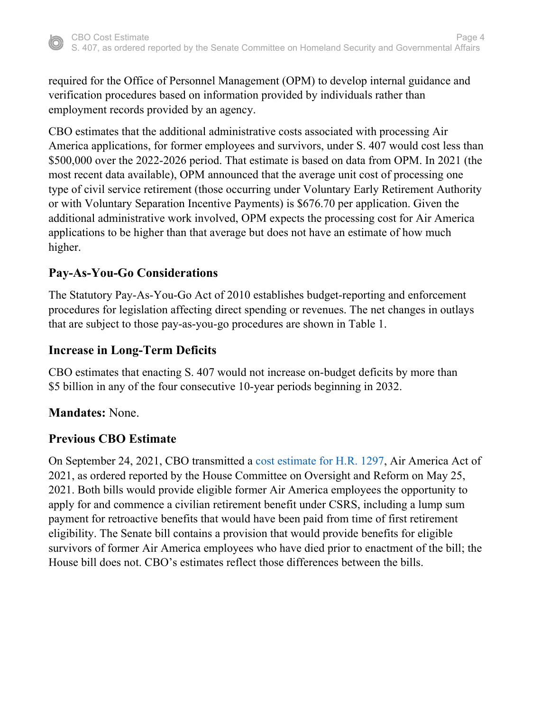

required for the Office of Personnel Management (OPM) to develop internal guidance and verification procedures based on information provided by individuals rather than employment records provided by an agency.

CBO estimates that the additional administrative costs associated with processing Air America applications, for former employees and survivors, under S. 407 would cost less than \$500,000 over the 2022-2026 period. That estimate is based on data from OPM. In 2021 (the most recent data available), OPM announced that the average unit cost of processing one type of civil service retirement (those occurring under Voluntary Early Retirement Authority or with Voluntary Separation Incentive Payments) is \$676.70 per application. Given the additional administrative work involved, OPM expects the processing cost for Air America applications to be higher than that average but does not have an estimate of how much higher.

## **Pay-As-You-Go Considerations**

The Statutory Pay-As-You-Go Act of 2010 establishes budget-reporting and enforcement procedures for legislation affecting direct spending or revenues. The net changes in outlays that are subject to those pay-as-you-go procedures are shown in Table 1.

### **Increase in Long-Term Deficits**

CBO estimates that enacting S. 407 would not increase on-budget deficits by more than \$5 billion in any of the four consecutive 10-year periods beginning in 2032.

### **Mandates:** None.

## **Previous CBO Estimate**

On September 24, 2021, CBO transmitted a [cost estimate for](https://www.cbo.gov/publication/57501) H.R. 1297, Air America Act of 2021, as ordered reported by the House Committee on Oversight and Reform on May 25, 2021. Both bills would provide eligible former Air America employees the opportunity to apply for and commence a civilian retirement benefit under CSRS, including a lump sum payment for retroactive benefits that would have been paid from time of first retirement eligibility. The Senate bill contains a provision that would provide benefits for eligible survivors of former Air America employees who have died prior to enactment of the bill; the House bill does not. CBO's estimates reflect those differences between the bills.